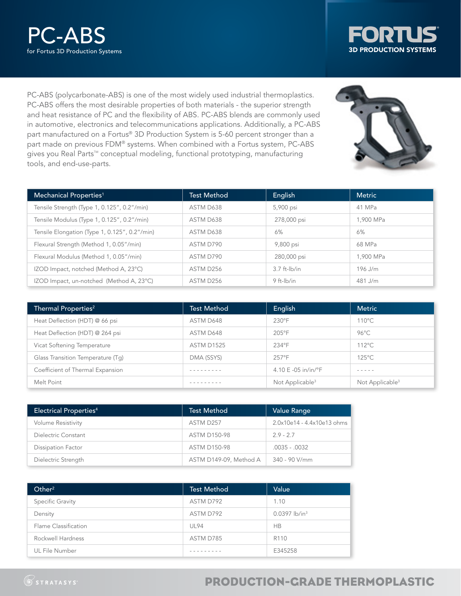



PC-ABS (polycarbonate-ABS) is one of the most widely used industrial thermoplastics. PC-ABS offers the most desirable properties of both materials - the superior strength and heat resistance of PC and the flexibility of ABS. PC-ABS blends are commonly used in automotive, electronics and telecommunications applications. Additionally, a PC-ABS part manufactured on a Fortus® 3D Production System is 5-60 percent stronger than a part made on previous FDM® systems. When combined with a Fortus system, PC-ABS gives you Real Parts<sup>™</sup> conceptual modeling, functional prototyping, manufacturing tools, and end-use-parts.

| Mechanical Properties <sup>1</sup>            | <b>Test Method</b> | English           | <b>Metric</b> |
|-----------------------------------------------|--------------------|-------------------|---------------|
| Tensile Strength (Type 1, 0.125", 0.2"/min)   | ASTM D638          | 5,900 psi         | 41 MPa        |
| Tensile Modulus (Type 1, 0.125", 0.2"/min)    | ASTM D638          | 278,000 psi       | 1.900 MPa     |
| Tensile Elongation (Type 1, 0.125", 0.2"/min) | ASTM D638          | 6%                | 6%            |
| Flexural Strength (Method 1, 0.05"/min)       | ASTM D790          | 9,800 psi         | 68 MPa        |
| Flexural Modulus (Method 1, 0.05"/min)        | ASTM D790          | 280,000 psi       | 1,900 MPa     |
| IZOD Impact, notched (Method A, 23°C)         | ASTM D256          | $3.7$ ft- $lb/in$ | $196$ J/m     |
| IZOD Impact, un-notched (Method A, 23°C)      | ASTM D256          | 9 ft-Ib/in        | 481 J/m       |

| Thermal Properties <sup>2</sup>   | <b>Test Method</b> | English                       | <b>Metric</b>               |
|-----------------------------------|--------------------|-------------------------------|-----------------------------|
| Heat Deflection (HDT) @ 66 psi    | ASTM D648          | $230^{\circ}$ F               | $110^{\circ}$ C             |
| Heat Deflection (HDT) @ 264 psi   | ASTM D648          | $205^{\circ}$ F               | $96^{\circ}$ C              |
| Vicat Softening Temperature       | <b>ASTM D1525</b>  | 234°F                         | $112^{\circ}$ C             |
| Glass Transition Temperature (Tq) | DMA (SSYS)         | 257°F                         | $125^{\circ}$ C             |
| Coefficient of Thermal Expansion  |                    | 4.10 E -05 in/in/ $\degree$ F | -----                       |
| Melt Point                        |                    | Not Applicable <sup>3</sup>   | Not Applicable <sup>3</sup> |

| <b>Electrical Properties4</b> | <b>Test Method</b>     | Value Range                |
|-------------------------------|------------------------|----------------------------|
| <b>Volume Resistivity</b>     | ASTM D257              | 2.0x10e14 - 4.4x10e13 ohms |
| Dielectric Constant           | <b>ASTM D150-98</b>    | $2.9 - 2.7$                |
| <b>Dissipation Factor</b>     | <b>ASTM D150-98</b>    | $.0035 - .0032$            |
| Dielectric Strength           | ASTM D149-09, Method A | 340 - 90 V/mm              |

| Other <sup>2</sup>   | <b>Test Method</b> | Value                       |
|----------------------|--------------------|-----------------------------|
| Specific Gravity     | ASTM D792          | 1.10                        |
| Density              | ASTM D792          | $0.0397$ lb/in <sup>3</sup> |
| Flame Classification | <b>UL94</b>        | <b>HB</b>                   |
| Rockwell Hardness    | ASTM D785          | R <sub>110</sub>            |
| UL File Number       |                    | E345258                     |

## PRODUCTION-GRADE THERMOPLASTIC